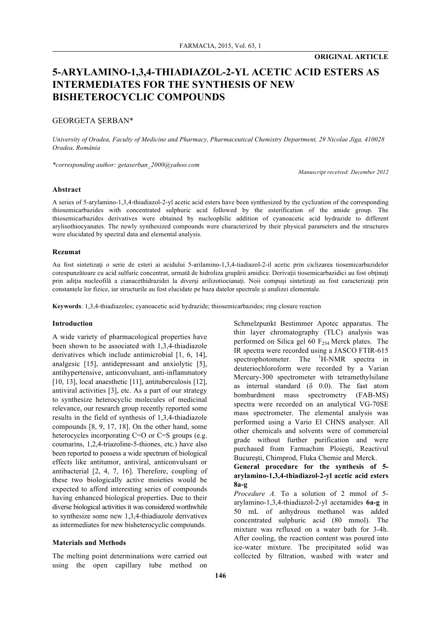### **ORIGINAL ARTICLE**

# **5-ARYLAMINO-1,3,4-THIADIAZOL-2-YL ACETIC ACID ESTERS AS INTERMEDIATES FOR THE SYNTHESIS OF NEW BISHETEROCYCLIC COMPOUNDS**

#### GEORGETA ŞERBAN\*

*University of Oradea, Faculty of Medicine and Pharmacy, Pharmaceutical Chemistry Department, 29 Nicolae Jiga, 410028 Oradea, România*

*\*corresponding author: getaserban\_2000@yahoo.com*

*Manuscript received: December 2012*

#### **Abstract**

A series of 5-arylamino-1,3,4-thiadiazol-2-yl acetic acid esters have been synthesized by the cyclization of the corresponding thiosemicarbazides with concentrated sulphuric acid followed by the esterification of the amide group. The thiosemicarbazides derivatives were obtained by nucleophilic addition of cyanoacetic acid hydrazide to different arylisothiocyanates. The newly synthesized compounds were characterized by their physical parameters and the structures were elucidated by spectral data and elemental analysis.

#### **Rezumat**

Au fost sintetizaţi o serie de esteri ai acidului 5-arilamino-1,3,4-tiadiazol-2-il acetic prin ciclizarea tiosemicarbazidelor corespunzătoare cu acid sulfuric concentrat, urmată de hidroliza grupării amidice. Derivatii tiosemicarbazidici au fost obtinuti prin aditia nucleofilă a cianacethidrazidei la diversi arilizotiocianați. Noii compuși sintetizați au fost caracterizați prin constantele lor fizice, iar structurile au fost elucidate pe baza datelor spectrale şi analizei elementale.

**Keywords**: 1,3,4-thiadiazoles; cyanoacetic acid hydrazide; thiosemicarbazides; ring closure reaction

#### **Introduction**

A wide variety of pharmacological properties have been shown to be associated with 1,3,4-thiadiazole derivatives which include antimicrobial [1, 6, 14], analgesic [15], antidepressant and anxiolytic [5], antihypertensive, anticonvulsant, anti-inflammatory [10, 13], local anaesthetic [11], antituberculosis [12], antiviral activities [3], etc. As a part of our strategy to synthesize heterocyclic molecules of medicinal relevance, our research group recently reported some results in the field of synthesis of 1,3,4-thiadiazole compounds [8, 9, 17, 18]. On the other hand, some heterocycles incorporating C=O or C=S groups (e.g. coumarins, 1,2,4-triazoline-5-thiones, etc.) have also been reported to possess a wide spectrum of biological effects like antitumor, antiviral, anticonvulsant or antibacterial [2, 4, 7, 16]. Therefore, coupling of these two biologically active moieties would be expected to afford interesting series of compounds having enhanced biological properties. Due to their diverse biological activities it was considered worthwhile to synthesize some new 1,3,4-thiadiazole derivatives as intermediates for new bisheterocyclic compounds.

#### **Materials and Methods**

The melting point determinations were carried out using the open capillary tube method on

Schmelzpunkt Bestimmer Apotec apparatus. The thin layer chromatography (TLC) analysis was performed on Silica gel 60  $F<sub>254</sub>$  Merck plates. The IR spectra were recorded using a JASCO FTIR-615 spectrophotometer. The  $H-NMR$  spectra in deuteriochloroform were recorded by a Varian Mercury-300 spectrometer with tetramethylsilane as internal standard  $(δ 0.0)$ . The fast atom bombardment mass spectrometry (FAB-MS) spectra were recorded on an analytical VG-70SE mass spectrometer. The elemental analysis was performed using a Vario El CHNS analyser. All other chemicals and solvents were of commercial grade without further purification and were purchased from Farmachim Ploieşti, Reactivul Bucureşti, Chimprod, Fluka Chemie and Merck.

**General procedure for the synthesis of 5 arylamino-1,3,4-thiadiazol-2-yl acetic acid esters 8a-g**

*Procedure A.* To a solution of 2 mmol of 5 arylamino-1,3,4-thiadiazol-2-yl acetamides **6a-g** in 50 mL of anhydrous methanol was added concentrated sulphuric acid (80 mmol). The mixture was refluxed on a water bath for 3-4h. After cooling, the reaction content was poured into ice-water mixture. The precipitated solid was collected by filtration, washed with water and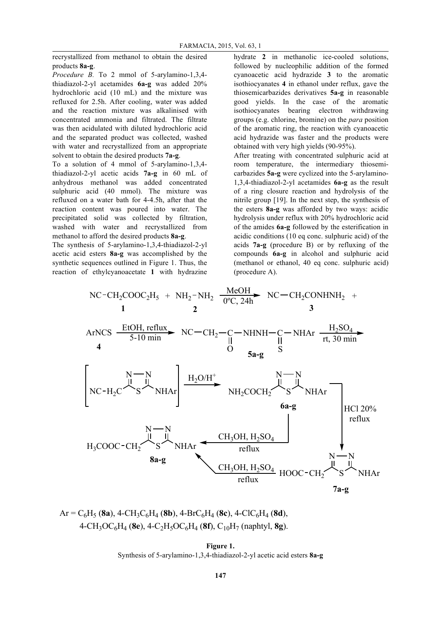recrystallized from methanol to obtain the desired products **8a-g**.

*Procedure B.* To 2 mmol of 5-arylamino-1,3,4 thiadiazol-2-yl acetamides **6a-g** was added 20% hydrochloric acid (10 mL) and the mixture was refluxed for 2.5h. After cooling, water was added and the reaction mixture was alkalinised with concentrated ammonia and filtrated. The filtrate was then acidulated with diluted hydrochloric acid and the separated product was collected, washed with water and recrystallized from an appropriate solvent to obtain the desired products **7a-g**.

To a solution of 4 mmol of 5-arylamino-1,3,4 thiadiazol-2-yl acetic acids **7a-g** in 60 mL of anhydrous methanol was added concentrated sulphuric acid (40 mmol). The mixture was refluxed on a water bath for 4-4.5h, after that the reaction content was poured into water. The precipitated solid was collected by filtration, washed with water and recrystallized from methanol to afford the desired products **8a-g**.

The synthesis of 5-arylamino-1,3,4-thiadiazol-2-yl acetic acid esters **8a-g** was accomplished by the synthetic sequences outlined in Figure 1. Thus, the reaction of ethylcyanoacetate **1** with hydrazine

hydrate **2** in methanolic ice-cooled solutions, followed by nucleophilic addition of the formed cyanoacetic acid hydrazide **3** to the aromatic isothiocyanates **4** in ethanol under reflux, gave the thiosemicarbazides derivatives **5a-g** in reasonable good yields. In the case of the aromatic isothiocyanates bearing electron withdrawing groups (e.g. chlorine, bromine) on the *para* position of the aromatic ring, the reaction with cyanoacetic acid hydrazide was faster and the products were obtained with very high yields (90-95%).

After treating with concentrated sulphuric acid at room temperature, the intermediary thiosemicarbazides **5a-g** were cyclized into the 5-arylamino-1,3,4-thiadiazol-2-yl acetamides **6a-g** as the result of a ring closure reaction and hydrolysis of the nitrile group [19]. In the next step, the synthesis of the esters **8a-g** was afforded by two ways: acidic hydrolysis under reflux with 20% hydrochloric acid of the amides **6a-g** followed by the esterification in acidic conditions (10 eq conc. sulphuric acid) of the acids **7a-g** (procedure B) or by refluxing of the compounds **6a-g** in alcohol and sulphuric acid (methanol or ethanol, 40 eq conc. sulphuric acid) (procedure A).



$$
Ar = C_6H_5 (8a), 4-CH_3C_6H_4 (8b), 4-BrC_6H_4 (8c), 4-ClC_6H_4 (8d),
$$
  
4-CH<sub>3</sub>OC<sub>6</sub>H<sub>4</sub> (8e), 4-C<sub>2</sub>H<sub>5</sub>OC<sub>6</sub>H<sub>4</sub> (8f), C<sub>10</sub>H<sub>7</sub> (naphtyl, 8g).

**Figure 1.** Synthesis of 5-arylamino-1,3,4-thiadiazol-2-yl acetic acid esters **8a-g**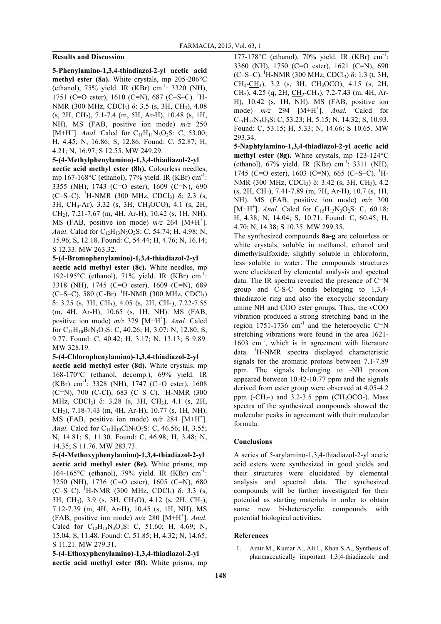### **Results and Discussion**

**5-Phenylamino-1,3,4-thiadiazol-2-yl acetic acid methyl ester (8a).** White crystals, mp 205-206°C (ethanol), 75% yield. IR (KBr) cm-1 : 3320 (NH), 1751 (C=O ester), 1610 (C=N), 687 (C–S–C).  ${}^{1}$ H-NMR (300 MHz, CDCl<sub>3</sub>) δ: 3.5 (s, 3H, CH<sub>3</sub>), 4.08  $(s, 2H, CH<sub>2</sub>), 7.1-7.4$  (m, 5H, Ar-H), 10.48 (s, 1H, NH). MS (FAB, positive ion mode) *m/z* 250 [M+H<sup>+</sup>]. *Anal.* Calcd for  $C_{11}H_{11}N_3O_2S$ : C, 53.00; H, 4.45; N, 16.86; S, 12.86. Found: C, 52.87; H, 4.21; N, 16.97; S 12.55. MW 249.29.

#### **5-(4-Methylphenylamino)-1,3,4-thiadiazol-2-yl**

**acetic acid methyl ester (8b).** Colourless needles, mp 167-168 $^{\circ}$ C (ethanol), 77% yield. IR (KBr) cm<sup>-1</sup>: 3355 (NH), 1743 (C=O ester), 1609 (C=N), 690 (C–S–C). <sup>1</sup>H-NMR (300 MHz, CDCl<sub>3</sub>) δ: 2.3 (s, 3H, CH3-Ar), 3.32 (s, 3H, CH3OCO), 4.1 (s, 2H, CH2), 7.21-7.67 (m, 4H, Ar-H), 10.42 (s, 1H, NH). MS (FAB, positive ion mode)  $m/z$  264 [M+H<sup>+</sup>]. *Anal.* Calcd for C12H13N3O2S: C, 54.74; H, 4.98; N, 15.96; S, 12.18. Found: C, 54.44; H, 4.76; N, 16.14; S 12.33. MW 263.32.

### **5-(4-Bromophenylamino)-1,3,4-thiadiazol-2-yl**

**acetic acid methyl ester (8c).** White needles, mp 192-195 $\rm{^{\circ}C}$  (ethanol), 71% yield. IR (KBr) cm<sup>-1</sup>: 3318 (NH), 1745 (C=O ester), 1609 (C=N), 689 (C–S–C), 580 (C-Br). <sup>1</sup>H-NMR (300 MHz, CDCl<sub>3</sub>) δ: 3.25 (s, 3H, CH3), 4.05 (s, 2H, CH2), 7.22-7.55 (m, 4H, Ar-H), 10.65 (s, 1H, NH). MS (FAB, positive ion mode)  $m/z$  329 [M+H<sup>+</sup>]. *Anal.* Calcd for  $C_{11}H_{10}BrN_3O_2S$ : C, 40.26; H, 3.07; N, 12.80; S, 9.77. Found: C, 40.42; H, 3.17; N, 13.13; S 9.89. MW 328.19.

### **5-(4-Chlorophenylamino)-1,3,4-thiadiazol-2-yl**

**acetic acid methyl ester (8d).** White crystals, mp 168-170°C (ethanol, decomp.), 69% yield. IR  $(KBr)$  cm<sup>-1</sup>: 3328 (NH), 1747 (C=O ester), 1608  $(C=N)$ , 700  $(C-CI)$ , 683  $(C-S-C)$ . <sup>1</sup>H-NMR (300 MHz, CDCl3) δ: 3.28 (s, 3H, CH3), 4.1 (s, 2H, CH2), 7.18-7.43 (m, 4H, Ar-H), 10.77 (s, 1H, NH). MS (FAB, positive ion mode)  $m/z$  284 [M+H<sup>+</sup>]. *Anal.* Calcd for  $C_{11}H_{10}CN_3O_2S$ : C, 46.56; H, 3.55; N, 14.81; S, 11.30. Found: C, 46.98; H, 3.48; N, 14.35; S 11.76. MW 283.73.

**5-(4-Methoxyphenylamino)-1,3,4-thiadiazol-2-yl acetic acid methyl ester (8e).** White prisms, mp 164-165 $^{\circ}$ C (ethanol), 79% yield. IR (KBr) cm<sup>-1</sup>: 3250 (NH), 1736 (C=O ester), 1605 (C=N), 680 (C–S–C). <sup>1</sup>H-NMR (300 MHz, CDCl<sub>3</sub>) δ: 3.3 (s, 3H, CH3), 3.9 (s, 3H, CH3O), 4.12 (s, 2H, CH2), 7.12-7.39 (m, 4H, Ar-H), 10.45 (s, 1H, NH). MS (FAB, positive ion mode)  $m/z$  280 [M+H<sup>+</sup>]. Anal. Calcd for  $C_{12}H_{13}N_3O_3S$ : C, 51.60; H, 4.69; N, 15.04; S, 11.48. Found: C, 51.85; H, 4.32; N, 14.65; S 11.21. MW 279.31.

## **5-(4-Ethoxyphenylamino)-1,3,4-thiadiazol-2-yl acetic acid methyl ester (8f).** White prisms, mp

177-178°C (ethanol), 70% yield. IR (KBr) cm<sup>-1</sup>: 3360 (NH), 1750 (C=O ester), 1621 (C=N), 690 (C–S–C). <sup>1</sup>H-NMR (300 MHz, CDCl<sub>3</sub>) δ: 1.3 (t, 3H, CH2-CH3), 3.2 (s, 3H, CH3OCO), 4.15 (s, 2H, CH<sub>2</sub>), 4.25 (q, 2H, CH<sub>2</sub>-CH<sub>3</sub>), 7.2-7.43 (m, 4H, Ar-H), 10.42 (s, 1H, NH). MS (FAB, positive ion mode)  $m/z$  294 [M+H<sup>+</sup>]. *Anal*. Calcd for  $C_{13}H_{15}N_3O_3S$ : C, 53.23; H, 5.15; N, 14.32; S, 10.93. Found: C, 53.15; H, 5.33; N, 14.66; S 10.65. MW 293.34.

**5-Naphtylamino-1,3,4-thiadiazol-2-yl acetic acid methyl ester (8g).** White crystals, mp 123-124°C (ethanol),  $67\%$  yield. IR (KBr) cm<sup>-1</sup>: 3311 (NH), 1745 (C=O ester), 1603 (C=N), 665 (C–S–C). <sup>1</sup>H-NMR (300 MHz, CDCl<sub>3</sub>) δ: 3.42 (s, 3H, CH<sub>3</sub>), 4.2  $(s, 2H, CH<sub>2</sub>), 7.41-7.89$  (m, 7H, Ar-H), 10.7 (s, 1H, NH). MS (FAB, positive ion mode) *m/z* 300 [M+H<sup>+</sup>]. *Anal.* Calcd for  $C_{15}H_{13}N_3O_2S$ : C, 60.18; H, 4.38; N, 14.04; S, 10.71. Found: C, 60.45; H, 4.70; N, 14.38; S 10.35. MW 299.35.

The synthesized compounds **8a-g** are colourless or white crystals, soluble in methanol, ethanol and dimethylsulfoxide, slightly soluble in chloroform, less soluble in water. The compounds structures were elucidated by elemental analysis and spectral data. The IR spectra revealed the presence of  $C=N$ group and C-S-C bonds belonging to 1,3,4 thiadiazole ring and also the exocyclic secondary amine NH and COO ester groups. Thus, the νCOO vibration produced a strong stretching band in the region  $1751-1736$  cm<sup>-1</sup> and the heterocyclic C=N stretching vibrations were found in the area 1621- 1603 cm-1 , which is in agreement with literature data. <sup>1</sup> H-NMR spectra displayed characteristic signals for the aromatic protons between 7.1-7.89 ppm. The signals belonging to -NH proton appeared between 10.42-10.77 ppm and the signals derived from ester group were observed at 4.05-4.2 ppm  $(-CH<sub>2</sub>-)$  and  $3.2-3.5$  ppm  $(CH<sub>3</sub>OCO-)$ . Mass spectra of the synthesized compounds showed the molecular peaks in agreement with their molecular formula.

### **Conclusions**

A series of 5-arylamino-1,3,4-thiadiazol-2-yl acetic acid esters were synthesized in good yields and their structures were elucidated by elemental analysis and spectral data. The synthesized compounds will be further investigated for their potential as starting materials in order to obtain some new bisheterocyclic compounds with potential biological activities.

### **References**

1. Amir M., Kumar A., Ali I., Khan S.A., Synthesis of pharmaceutically important 1,3,4-thiadiazole and